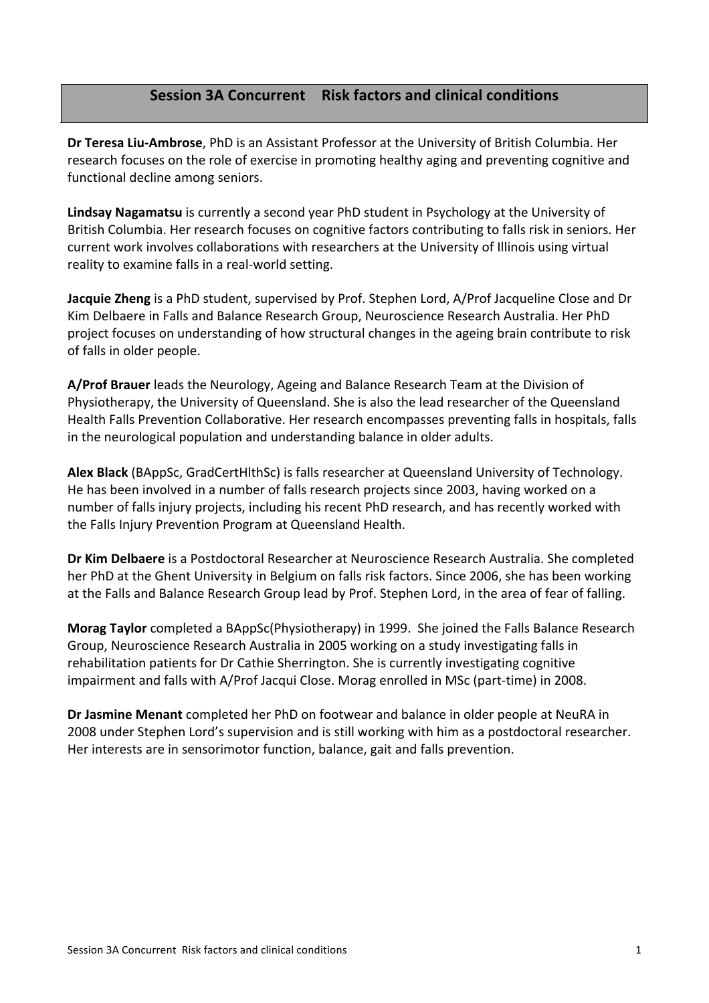# **Session'3A'Concurrent Risk'factors'and'clinical'conditions**

**Dr Teresa Liu-Ambrose**, PhD is an Assistant Professor at the University of British Columbia. Her research focuses on the role of exercise in promoting healthy aging and preventing cognitive and functional decline among seniors.

Lindsay Nagamatsu is currently a second year PhD student in Psychology at the University of British Columbia. Her research focuses on cognitive factors contributing to falls risk in seniors. Her current work involves collaborations with researchers at the University of Illinois using virtual reality to examine falls in a real-world setting.

**Jacquie Zheng** is a PhD student, supervised by Prof. Stephen Lord, A/Prof Jacqueline Close and Dr Kim Delbaere in Falls and Balance Research Group, Neuroscience Research Australia. Her PhD project focuses on understanding of how structural changes in the ageing brain contribute to risk of falls in older people.

A/Prof Brauer leads the Neurology, Ageing and Balance Research Team at the Division of Physiotherapy, the University of Queensland. She is also the lead researcher of the Queensland Health Falls Prevention Collaborative. Her research encompasses preventing falls in hospitals, falls' in the neurological population and understanding balance in older adults.

Alex Black (BAppSc, GradCertHlthSc) is falls researcher at Queensland University of Technology. He has been involved in a number of falls research projects since 2003, having worked on a number of falls injury projects, including his recent PhD research, and has recently worked with the Falls Injury Prevention Program at Queensland Health.

**Dr Kim Delbaere** is a Postdoctoral Researcher at Neuroscience Research Australia. She completed her PhD at the Ghent University in Belgium on falls risk factors. Since 2006, she has been working at the Falls and Balance Research Group lead by Prof. Stephen Lord, in the area of fear of falling.

**Morag Taylor** completed a BAppSc(Physiotherapy) in 1999. She joined the Falls Balance Research Group, Neuroscience Research Australia in 2005 working on a study investigating falls in rehabilitation patients for Dr Cathie Sherrington. She is currently investigating cognitive impairment and falls with A/Prof Jacqui Close. Morag enrolled in MSc (part-time) in 2008.

**Dr Jasmine Menant** completed her PhD on footwear and balance in older people at NeuRA in 2008'under Stephen Lord's supervision and is still working with him as a postdoctoral researcher. Her interests are in sensorimotor function, balance, gait and falls prevention.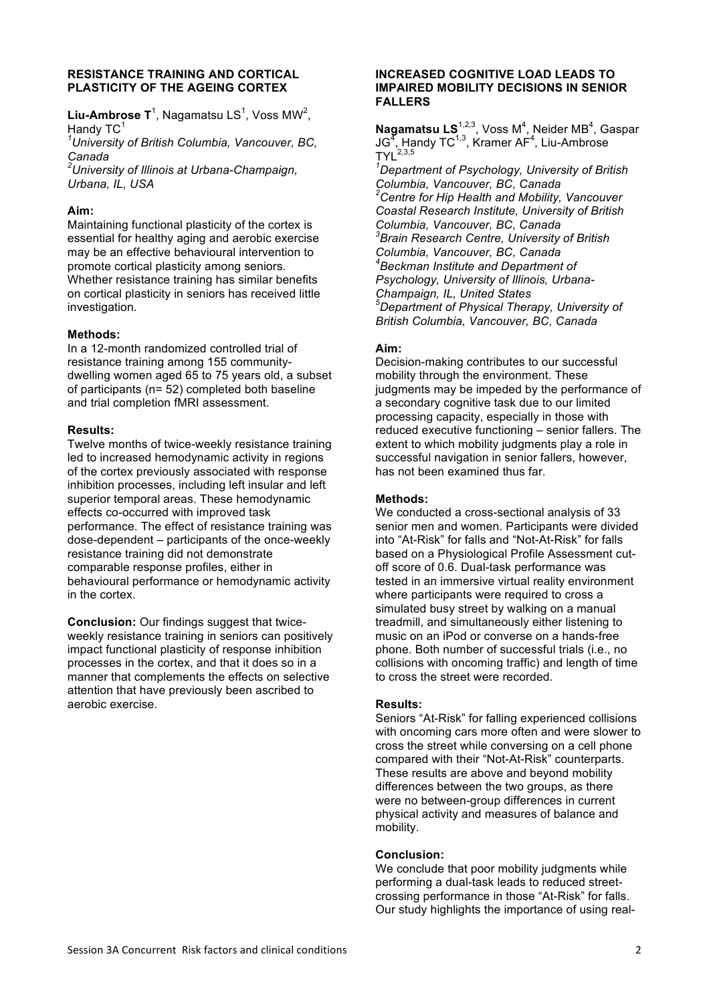#### **RESISTANCE TRAINING AND CORTICAL PLASTICITY OF THE AGEING CORTEX**

**Liu-Ambrose T**<sup>1</sup>, Nagamatsu LS<sup>1</sup>, Voss MW<sup>2</sup>, Handy TC

*1 University of British Columbia, Vancouver, BC, Canada*

*2 University of Illinois at Urbana-Champaign, Urbana, IL, USA*

# **Aim:**

Maintaining functional plasticity of the cortex is essential for healthy aging and aerobic exercise may be an effective behavioural intervention to promote cortical plasticity among seniors. Whether resistance training has similar benefits on cortical plasticity in seniors has received little investigation.

# **Methods:**

In a 12-month randomized controlled trial of resistance training among 155 communitydwelling women aged 65 to 75 years old, a subset of participants (n= 52) completed both baseline and trial completion fMRI assessment.

# **Results:**

Twelve months of twice-weekly resistance training led to increased hemodynamic activity in regions of the cortex previously associated with response inhibition processes, including left insular and left superior temporal areas. These hemodynamic effects co-occurred with improved task performance. The effect of resistance training was dose-dependent – participants of the once-weekly resistance training did not demonstrate comparable response profiles, either in behavioural performance or hemodynamic activity in the cortex.

**Conclusion:** Our findings suggest that twiceweekly resistance training in seniors can positively impact functional plasticity of response inhibition processes in the cortex, and that it does so in a manner that complements the effects on selective attention that have previously been ascribed to aerobic exercise.

### **INCREASED COGNITIVE LOAD LEADS TO IMPAIRED MOBILITY DECISIONS IN SENIOR FALLERS**

Nagamatsu LS<sup>1,2,3</sup>, Voss M<sup>4</sup>, Neider MB<sup>4</sup>, Gaspar  $\mathsf{JG}^\mathcal{I}$ , Handy TC<sup>1,3</sup>, Kramer AF<sup>4</sup>, Liu-Ambrose  $TYL^{2,3,5}$ 

*1 Department of Psychology, University of British Columbia, Vancouver, BC, Canada 2 Centre for Hip Health and Mobility, Vancouver Coastal Research Institute, University of British Columbia, Vancouver, BC, Canada 3 Brain Research Centre, University of British Columbia, Vancouver, BC, Canada 4 Beckman Institute and Department of Psychology, University of Illinois, Urbana-Champaign, IL, United States 5 Department of Physical Therapy, University of British Columbia, Vancouver, BC, Canada*

# **Aim:**

Decision-making contributes to our successful mobility through the environment. These judgments may be impeded by the performance of a secondary cognitive task due to our limited processing capacity, especially in those with reduced executive functioning – senior fallers. The extent to which mobility judgments play a role in successful navigation in senior fallers, however, has not been examined thus far.

# **Methods:**

We conducted a cross-sectional analysis of 33 senior men and women. Participants were divided into "At-Risk" for falls and "Not-At-Risk" for falls based on a Physiological Profile Assessment cutoff score of 0.6. Dual-task performance was tested in an immersive virtual reality environment where participants were required to cross a simulated busy street by walking on a manual treadmill, and simultaneously either listening to music on an iPod or converse on a hands-free phone. Both number of successful trials (i.e., no collisions with oncoming traffic) and length of time to cross the street were recorded.

# **Results:**

Seniors "At-Risk" for falling experienced collisions with oncoming cars more often and were slower to cross the street while conversing on a cell phone compared with their "Not-At-Risk" counterparts. These results are above and beyond mobility differences between the two groups, as there were no between-group differences in current physical activity and measures of balance and mobility.

# **Conclusion:**

We conclude that poor mobility judgments while performing a dual-task leads to reduced streetcrossing performance in those "At-Risk" for falls. Our study highlights the importance of using real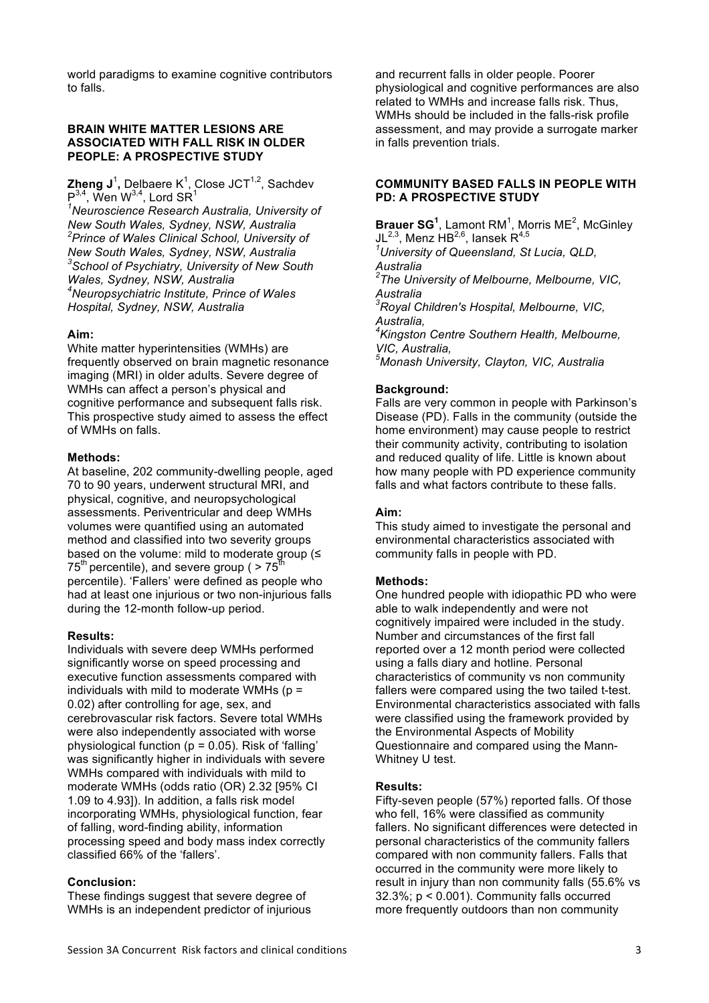world paradigms to examine cognitive contributors to falls.

### **BRAIN WHITE MATTER LESIONS ARE ASSOCIATED WITH FALL RISK IN OLDER PEOPLE: A PROSPECTIVE STUDY**

**Zheng J**<sup>1</sup>, Delbaere K<sup>1</sup>, Close JCT<sup>1,2</sup>, Sachdev  $P^{3,4}$ , Wen W<sup>3,4</sup>, Lord SR<sup>1</sup>

*1 Neuroscience Research Australia, University of New South Wales, Sydney, NSW, Australia 2 Prince of Wales Clinical School, University of New South Wales, Sydney, NSW, Australia <sup>3</sup> School of Psychiatry, University of New South Wales, Sydney, NSW, Australia 4 Neuropsychiatric Institute, Prince of Wales Hospital, Sydney, NSW, Australia*

### **Aim:**

White matter hyperintensities (WMHs) are frequently observed on brain magnetic resonance imaging (MRI) in older adults. Severe degree of WMHs can affect a person's physical and cognitive performance and subsequent falls risk. This prospective study aimed to assess the effect of WMHs on falls.

#### **Methods:**

At baseline, 202 community-dwelling people, aged 70 to 90 years, underwent structural MRI, and physical, cognitive, and neuropsychological assessments. Periventricular and deep WMHs volumes were quantified using an automated method and classified into two severity groups based on the volume: mild to moderate group (≤  $75<sup>th</sup>$  percentile), and severe group (  $> 75<sup>th</sup>$ percentile). 'Fallers' were defined as people who had at least one injurious or two non-injurious falls during the 12-month follow-up period.

#### **Results:**

Individuals with severe deep WMHs performed significantly worse on speed processing and executive function assessments compared with individuals with mild to moderate WMHs  $(p =$ 0.02) after controlling for age, sex, and cerebrovascular risk factors. Severe total WMHs were also independently associated with worse physiological function ( $p = 0.05$ ). Risk of 'falling' was significantly higher in individuals with severe WMHs compared with individuals with mild to moderate WMHs (odds ratio (OR) 2.32 [95% CI 1.09 to 4.93]). In addition, a falls risk model incorporating WMHs, physiological function, fear of falling, word-finding ability, information processing speed and body mass index correctly classified 66% of the 'fallers'.

#### **Conclusion:**

These findings suggest that severe degree of WMHs is an independent predictor of injurious

and recurrent falls in older people. Poorer physiological and cognitive performances are also related to WMHs and increase falls risk. Thus, WMHs should be included in the falls-risk profile assessment, and may provide a surrogate marker in falls prevention trials.

#### **COMMUNITY BASED FALLS IN PEOPLE WITH PD: A PROSPECTIVE STUDY**

**Brauer SG<sup>1</sup>**, Lamont RM<sup>1</sup>, Morris ME<sup>2</sup>, McGinley JL<sup>2,3</sup>, Menz HB<sup>2,6</sup>, Iansek R<sup>4,5</sup> *1 University of Queensland, St Lucia, QLD, Australia 2 The University of Melbourne, Melbourne, VIC, Australia 3 Royal Children's Hospital, Melbourne, VIC, Australia, 4 Kingston Centre Southern Health, Melbourne, VIC, Australia, 5 Monash University, Clayton, VIC, Australia*

# **Background:**

Falls are very common in people with Parkinson's Disease (PD). Falls in the community (outside the home environment) may cause people to restrict their community activity, contributing to isolation and reduced quality of life. Little is known about how many people with PD experience community falls and what factors contribute to these falls.

#### **Aim:**

This study aimed to investigate the personal and environmental characteristics associated with community falls in people with PD.

#### **Methods:**

One hundred people with idiopathic PD who were able to walk independently and were not cognitively impaired were included in the study. Number and circumstances of the first fall reported over a 12 month period were collected using a falls diary and hotline. Personal characteristics of community vs non community fallers were compared using the two tailed t-test. Environmental characteristics associated with falls were classified using the framework provided by the Environmental Aspects of Mobility Questionnaire and compared using the Mann-Whitney U test.

#### **Results:**

Fifty-seven people (57%) reported falls. Of those who fell, 16% were classified as community fallers. No significant differences were detected in personal characteristics of the community fallers compared with non community fallers. Falls that occurred in the community were more likely to result in injury than non community falls (55.6% vs 32.3%; p < 0.001). Community falls occurred more frequently outdoors than non community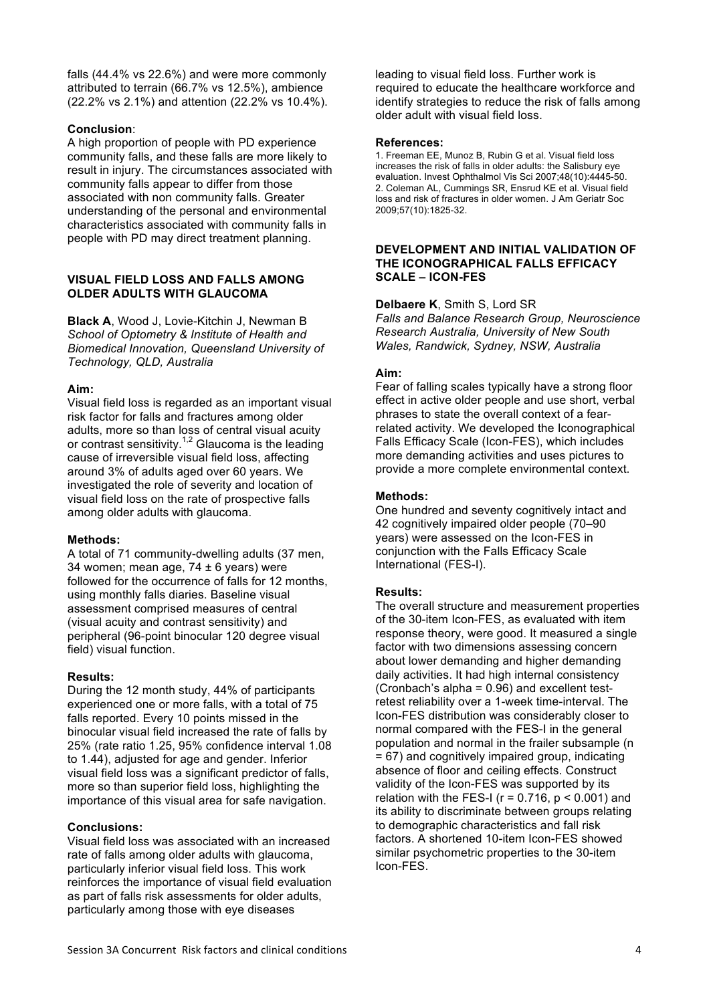falls (44.4% vs 22.6%) and were more commonly attributed to terrain (66.7% vs 12.5%), ambience (22.2% vs 2.1%) and attention (22.2% vs 10.4%).

# **Conclusion**:

A high proportion of people with PD experience community falls, and these falls are more likely to result in injury. The circumstances associated with community falls appear to differ from those associated with non community falls. Greater understanding of the personal and environmental characteristics associated with community falls in people with PD may direct treatment planning.

#### **VISUAL FIELD LOSS AND FALLS AMONG OLDER ADULTS WITH GLAUCOMA**

**Black A**, Wood J, Lovie-Kitchin J, Newman B *School of Optometry & Institute of Health and Biomedical Innovation, Queensland University of Technology, QLD, Australia*

### **Aim:**

Visual field loss is regarded as an important visual risk factor for falls and fractures among older adults, more so than loss of central visual acuity or contrast sensitivity.<sup>1,2</sup> Glaucoma is the leading cause of irreversible visual field loss, affecting around 3% of adults aged over 60 years. We investigated the role of severity and location of visual field loss on the rate of prospective falls among older adults with glaucoma.

# **Methods:**

A total of 71 community-dwelling adults (37 men, 34 women; mean age,  $74 \pm 6$  years) were followed for the occurrence of falls for 12 months, using monthly falls diaries. Baseline visual assessment comprised measures of central (visual acuity and contrast sensitivity) and peripheral (96-point binocular 120 degree visual field) visual function.

# **Results:**

During the 12 month study, 44% of participants experienced one or more falls, with a total of 75 falls reported. Every 10 points missed in the binocular visual field increased the rate of falls by 25% (rate ratio 1.25, 95% confidence interval 1.08 to 1.44), adjusted for age and gender. Inferior visual field loss was a significant predictor of falls, more so than superior field loss, highlighting the importance of this visual area for safe navigation.

# **Conclusions:**

Visual field loss was associated with an increased rate of falls among older adults with glaucoma, particularly inferior visual field loss. This work reinforces the importance of visual field evaluation as part of falls risk assessments for older adults, particularly among those with eye diseases

leading to visual field loss. Further work is required to educate the healthcare workforce and identify strategies to reduce the risk of falls among older adult with visual field loss.

#### **References:**

1. Freeman EE, Munoz B, Rubin G et al. Visual field loss increases the risk of falls in older adults: the Salisbury eye evaluation. Invest Ophthalmol Vis Sci 2007;48(10):4445-50. 2. Coleman AL, Cummings SR, Ensrud KE et al. Visual field loss and risk of fractures in older women. J Am Geriatr Soc 2009;57(10):1825-32.

### **DEVELOPMENT AND INITIAL VALIDATION OF THE ICONOGRAPHICAL FALLS EFFICACY SCALE – ICON-FES**

**Delbaere K**, Smith S, Lord SR

*Falls and Balance Research Group, Neuroscience Research Australia, University of New South Wales, Randwick, Sydney, NSW, Australia*

### **Aim:**

Fear of falling scales typically have a strong floor effect in active older people and use short, verbal phrases to state the overall context of a fearrelated activity. We developed the Iconographical Falls Efficacy Scale (Icon-FES), which includes more demanding activities and uses pictures to provide a more complete environmental context.

### **Methods:**

One hundred and seventy cognitively intact and 42 cognitively impaired older people (70–90 years) were assessed on the Icon-FES in conjunction with the Falls Efficacy Scale International (FES-I).

# **Results:**

The overall structure and measurement properties of the 30-item Icon-FES, as evaluated with item response theory, were good. It measured a single factor with two dimensions assessing concern about lower demanding and higher demanding daily activities. It had high internal consistency (Cronbach's alpha = 0.96) and excellent testretest reliability over a 1-week time-interval. The Icon-FES distribution was considerably closer to normal compared with the FES-I in the general population and normal in the frailer subsample (n = 67) and cognitively impaired group, indicating absence of floor and ceiling effects. Construct validity of the Icon-FES was supported by its relation with the FES-I ( $r = 0.716$ ,  $p < 0.001$ ) and its ability to discriminate between groups relating to demographic characteristics and fall risk factors. A shortened 10-item Icon-FES showed similar psychometric properties to the 30-item Icon-FES.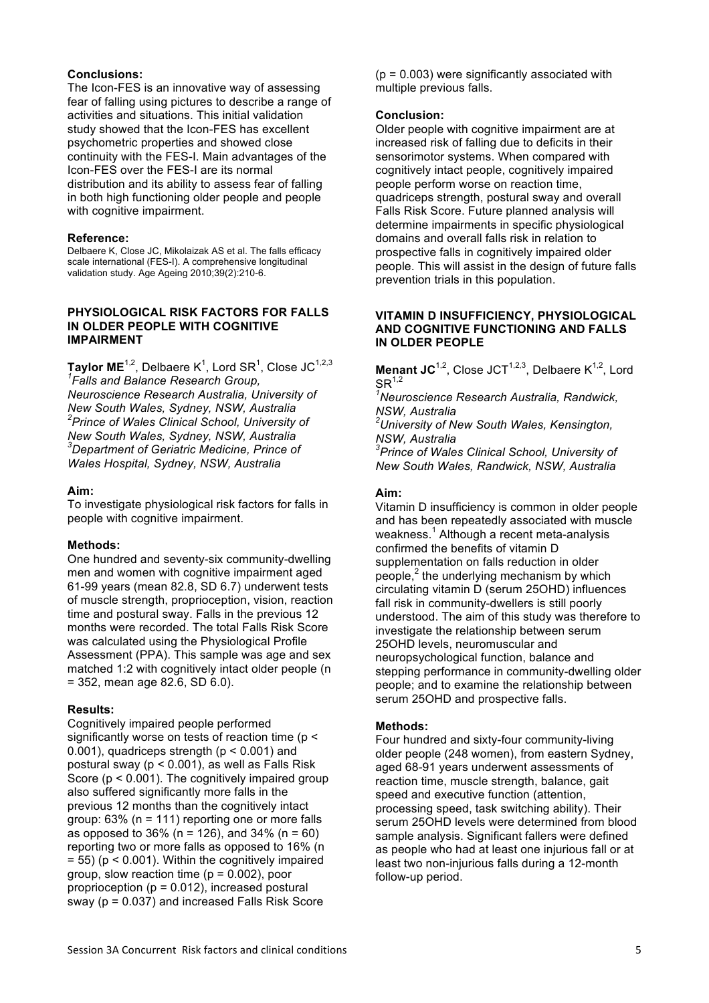### **Conclusions:**

The Icon-FES is an innovative way of assessing fear of falling using pictures to describe a range of activities and situations. This initial validation study showed that the Icon-FES has excellent psychometric properties and showed close continuity with the FES-I. Main advantages of the Icon-FES over the FES-I are its normal distribution and its ability to assess fear of falling in both high functioning older people and people with cognitive impairment.

#### **Reference:**

Delbaere K, Close JC, Mikolaizak AS et al. The falls efficacy scale international (FES-I). A comprehensive longitudinal validation study. Age Ageing 2010;39(2):210-6.

#### **PHYSIOLOGICAL RISK FACTORS FOR FALLS IN OLDER PEOPLE WITH COGNITIVE IMPAIRMENT**

 $\textsf{Taylor}\ \textsf{ME}^{1,2},$  Delbaere K $^1$ , Lord SR $^1$ , Close JC $^{1,2,3}$ *1 Falls and Balance Research Group, Neuroscience Research Australia, University of New South Wales, Sydney, NSW, Australia 2 Prince of Wales Clinical School, University of New South Wales, Sydney, NSW, Australia 3 Department of Geriatric Medicine, Prince of Wales Hospital, Sydney, NSW, Australia*

### **Aim:**

To investigate physiological risk factors for falls in people with cognitive impairment.

# **Methods:**

One hundred and seventy-six community-dwelling men and women with cognitive impairment aged 61-99 years (mean 82.8, SD 6.7) underwent tests of muscle strength, proprioception, vision, reaction time and postural sway. Falls in the previous 12 months were recorded. The total Falls Risk Score was calculated using the Physiological Profile Assessment (PPA). This sample was age and sex matched 1:2 with cognitively intact older people (n = 352, mean age 82.6, SD 6.0).

# **Results:**

Cognitively impaired people performed significantly worse on tests of reaction time (p < 0.001), quadriceps strength ( $p < 0.001$ ) and postural sway (p < 0.001), as well as Falls Risk Score ( $p < 0.001$ ). The cognitively impaired group also suffered significantly more falls in the previous 12 months than the cognitively intact group: 63% (n = 111) reporting one or more falls as opposed to 36% (n = 126), and 34% (n = 60) reporting two or more falls as opposed to 16% (n  $= 55$ ) ( $p < 0.001$ ). Within the cognitively impaired group, slow reaction time  $(p = 0.002)$ , poor proprioception  $(p = 0.012)$ , increased postural sway (p = 0.037) and increased Falls Risk Score

 $(p = 0.003)$  were significantly associated with multiple previous falls.

### **Conclusion:**

Older people with cognitive impairment are at increased risk of falling due to deficits in their sensorimotor systems. When compared with cognitively intact people, cognitively impaired people perform worse on reaction time, quadriceps strength, postural sway and overall Falls Risk Score. Future planned analysis will determine impairments in specific physiological domains and overall falls risk in relation to prospective falls in cognitively impaired older people. This will assist in the design of future falls prevention trials in this population.

#### **VITAMIN D INSUFFICIENCY, PHYSIOLOGICAL AND COGNITIVE FUNCTIONING AND FALLS IN OLDER PEOPLE**

**Menant JC**<sup>1,2</sup>, Close JCT<sup>1,2,3</sup>, Delbaere K<sup>1,2</sup>, Lord  $SR^{1,2}$ 

*1 Neuroscience Research Australia, Randwick, NSW, Australia*

*2 University of New South Wales, Kensington, NSW, Australia*

*3 Prince of Wales Clinical School, University of New South Wales, Randwick, NSW, Australia* 

# **Aim:**

Vitamin D insufficiency is common in older people and has been repeatedly associated with muscle weakness.<sup>1</sup> Although a recent meta-analysis confirmed the benefits of vitamin D supplementation on falls reduction in older people, $2$  the underlying mechanism by which circulating vitamin D (serum 25OHD) influences fall risk in community-dwellers is still poorly understood. The aim of this study was therefore to investigate the relationship between serum 25OHD levels, neuromuscular and neuropsychological function, balance and stepping performance in community-dwelling older people; and to examine the relationship between serum 25OHD and prospective falls.

#### **Methods:**

Four hundred and sixty-four community-living older people (248 women), from eastern Sydney, aged 68-91 years underwent assessments of reaction time, muscle strength, balance, gait speed and executive function (attention, processing speed, task switching ability). Their serum 25OHD levels were determined from blood sample analysis. Significant fallers were defined as people who had at least one injurious fall or at least two non-injurious falls during a 12-month follow-up period.